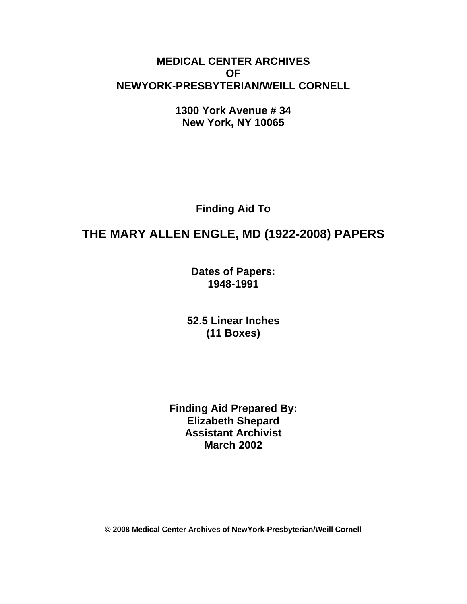# **MEDICAL CENTER ARCHIVES OF NEWYORK-PRESBYTERIAN/WEILL CORNELL**

**1300 York Avenue # 34 New York, NY 10065** 

**Finding Aid To** 

# **THE MARY ALLEN ENGLE, MD (1922-2008) PAPERS**

**Dates of Papers: 1948-1991**

**52.5 Linear Inches (11 Boxes)** 

**Finding Aid Prepared By: Elizabeth Shepard Assistant Archivist March 2002** 

**© 2008 Medical Center Archives of NewYork-Presbyterian/Weill Cornell**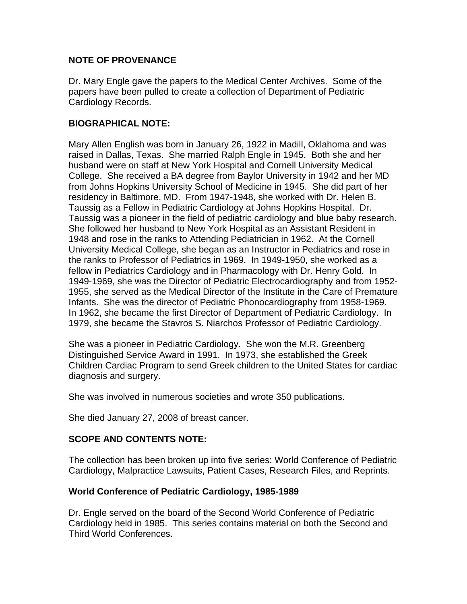## **NOTE OF PROVENANCE**

Dr. Mary Engle gave the papers to the Medical Center Archives. Some of the papers have been pulled to create a collection of Department of Pediatric Cardiology Records.

## **BIOGRAPHICAL NOTE:**

Mary Allen English was born in January 26, 1922 in Madill, Oklahoma and was raised in Dallas, Texas. She married Ralph Engle in 1945. Both she and her husband were on staff at New York Hospital and Cornell University Medical College. She received a BA degree from Baylor University in 1942 and her MD from Johns Hopkins University School of Medicine in 1945. She did part of her residency in Baltimore, MD. From 1947-1948, she worked with Dr. Helen B. Taussig as a Fellow in Pediatric Cardiology at Johns Hopkins Hospital. Dr. Taussig was a pioneer in the field of pediatric cardiology and blue baby research. She followed her husband to New York Hospital as an Assistant Resident in 1948 and rose in the ranks to Attending Pediatrician in 1962. At the Cornell University Medical College, she began as an Instructor in Pediatrics and rose in the ranks to Professor of Pediatrics in 1969. In 1949-1950, she worked as a fellow in Pediatrics Cardiology and in Pharmacology with Dr. Henry Gold. In 1949-1969, she was the Director of Pediatric Electrocardiography and from 1952- 1955, she served as the Medical Director of the Institute in the Care of Premature Infants. She was the director of Pediatric Phonocardiography from 1958-1969. In 1962, she became the first Director of Department of Pediatric Cardiology. In 1979, she became the Stavros S. Niarchos Professor of Pediatric Cardiology.

She was a pioneer in Pediatric Cardiology. She won the M.R. Greenberg Distinguished Service Award in 1991. In 1973, she established the Greek Children Cardiac Program to send Greek children to the United States for cardiac diagnosis and surgery.

She was involved in numerous societies and wrote 350 publications.

She died January 27, 2008 of breast cancer.

# **SCOPE AND CONTENTS NOTE:**

The collection has been broken up into five series: World Conference of Pediatric Cardiology, Malpractice Lawsuits, Patient Cases, Research Files, and Reprints.

## **World Conference of Pediatric Cardiology, 1985-1989**

Dr. Engle served on the board of the Second World Conference of Pediatric Cardiology held in 1985. This series contains material on both the Second and Third World Conferences.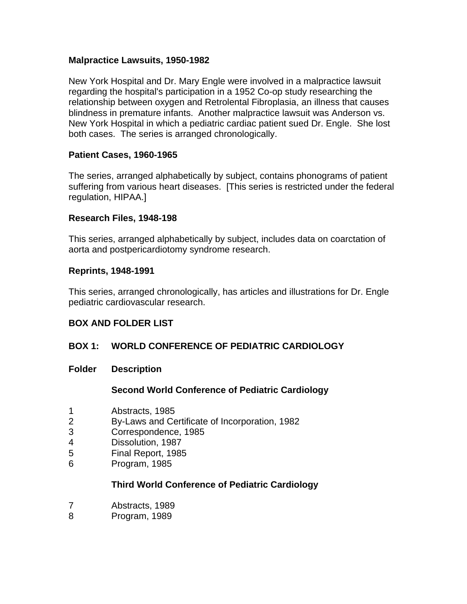## **Malpractice Lawsuits, 1950-1982**

New York Hospital and Dr. Mary Engle were involved in a malpractice lawsuit regarding the hospital's participation in a 1952 Co-op study researching the relationship between oxygen and Retrolental Fibroplasia, an illness that causes blindness in premature infants. Another malpractice lawsuit was Anderson vs. New York Hospital in which a pediatric cardiac patient sued Dr. Engle. She lost both cases. The series is arranged chronologically.

## **Patient Cases, 1960-1965**

The series, arranged alphabetically by subject, contains phonograms of patient suffering from various heart diseases. [This series is restricted under the federal regulation, HIPAA.]

#### **Research Files, 1948-198**

This series, arranged alphabetically by subject, includes data on coarctation of aorta and postpericardiotomy syndrome research.

#### **Reprints, 1948-1991**

This series, arranged chronologically, has articles and illustrations for Dr. Engle pediatric cardiovascular research.

## **BOX AND FOLDER LIST**

## **BOX 1: WORLD CONFERENCE OF PEDIATRIC CARDIOLOGY**

**Folder Description** 

## **Second World Conference of Pediatric Cardiology**

- 1 Abstracts, 1985
- 2 By-Laws and Certificate of Incorporation, 1982
- 3 Correspondence, 1985
- 4 Dissolution, 1987
- 5 Final Report, 1985
- 6 Program, 1985

## **Third World Conference of Pediatric Cardiology**

- 7 Abstracts, 1989
- 8 Program, 1989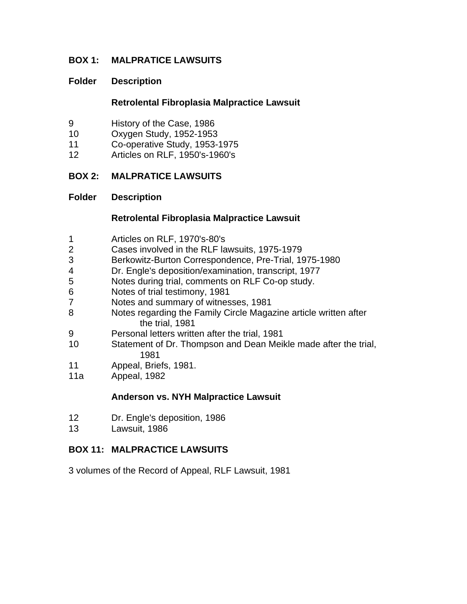## **BOX 1: MALPRATICE LAWSUITS**

#### **Folder Description**

#### **Retrolental Fibroplasia Malpractice Lawsuit**

- 9 History of the Case, 1986
- 10 Oxygen Study, 1952-1953
- 11 Co-operative Study, 1953-1975
- 12 Articles on RLF, 1950's-1960's

## **BOX 2: MALPRATICE LAWSUITS**

#### **Folder Description**

#### **Retrolental Fibroplasia Malpractice Lawsuit**

- 1 Articles on RLF, 1970's-80's
- 2 Cases involved in the RLF lawsuits, 1975-1979
- 3 Berkowitz-Burton Correspondence, Pre-Trial, 1975-1980
- 4 Dr. Engle's deposition/examination, transcript, 1977
- 5 Notes during trial, comments on RLF Co-op study.
- 6 Notes of trial testimony, 1981
- 7 Notes and summary of witnesses, 1981
- 8 Notes regarding the Family Circle Magazine article written after the trial, 1981
- 9 Personal letters written after the trial, 1981
- 10 Statement of Dr. Thompson and Dean Meikle made after the trial, 1981
- 11 Appeal, Briefs, 1981.
- 11a Appeal, 1982

#### **Anderson vs. NYH Malpractice Lawsuit**

- 12 Dr. Engle's deposition, 1986
- 13 Lawsuit, 1986

## **BOX 11: MALPRACTICE LAWSUITS**

3 volumes of the Record of Appeal, RLF Lawsuit, 1981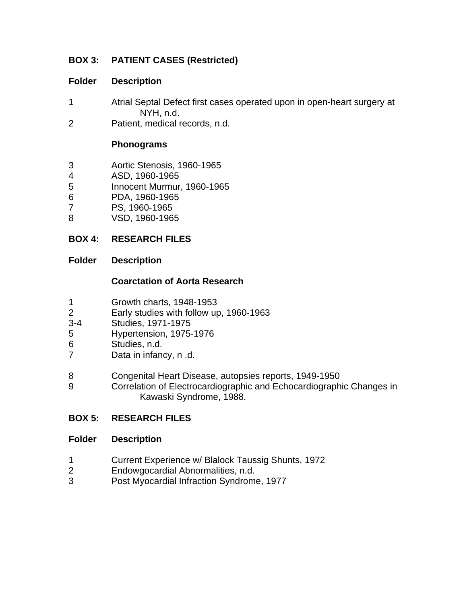# **BOX 3: PATIENT CASES (Restricted)**

## **Folder Description**

- 1 Atrial Septal Defect first cases operated upon in open-heart surgery at NYH, n.d.
- 2 Patient, medical records, n.d.

## **Phonograms**

- 3 Aortic Stenosis, 1960-1965
- 4 ASD, 1960-1965
- 5 Innocent Murmur, 1960-1965
- 6 PDA, 1960-1965
- 7 PS, 1960-1965
- 8 VSD, 1960-1965

# **BOX 4: RESEARCH FILES**

## **Folder Description**

## **Coarctation of Aorta Research**

- 1 Growth charts, 1948-1953
- 2 Early studies with follow up, 1960-1963
- 3-4 Studies, 1971-1975
- 5 Hypertension, 1975-1976
- 6 Studies, n.d.
- 7 Data in infancy, n .d.
- 8 Congenital Heart Disease, autopsies reports, 1949-1950
- 9 Correlation of Electrocardiographic and Echocardiographic Changes in Kawaski Syndrome, 1988.

# **BOX 5: RESEARCH FILES**

## **Folder Description**

- 1 Current Experience w/ Blalock Taussig Shunts, 1972
- 2 Endowgocardial Abnormalities, n.d.
- 3 Post Myocardial Infraction Syndrome, 1977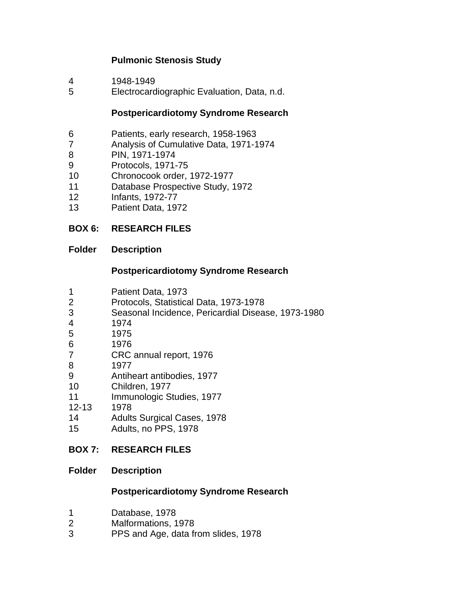# **Pulmonic Stenosis Study**

- 4 1948-1949
- 5 Electrocardiographic Evaluation, Data, n.d.

#### **Postpericardiotomy Syndrome Research**

- 6 Patients, early research, 1958-1963
- 7 Analysis of Cumulative Data, 1971-1974
- 8 PIN, 1971-1974
- 9 Protocols, 1971-75
- 10 Chronocook order, 1972-1977
- 11 Database Prospective Study, 1972
- 12 Infants, 1972-77
- 13 Patient Data, 1972

## **BOX 6: RESEARCH FILES**

#### **Folder Description**

#### **Postpericardiotomy Syndrome Research**

- 1 Patient Data, 1973
- 2 Protocols, Statistical Data, 1973-1978
- 3 Seasonal Incidence, Pericardial Disease, 1973-1980
- 4 1974
- 5 1975
- 6 1976
- 7 CRC annual report, 1976
- 8 1977
- 9 Antiheart antibodies, 1977
- 10 Children, 1977
- 11 Immunologic Studies, 1977
- 12-13 1978
- 14 Adults Surgical Cases, 1978
- 15 Adults, no PPS, 1978

## **BOX 7: RESEARCH FILES**

#### **Folder Description**

#### **Postpericardiotomy Syndrome Research**

- 1 Database, 1978
- 2 Malformations, 1978
- 3 PPS and Age, data from slides, 1978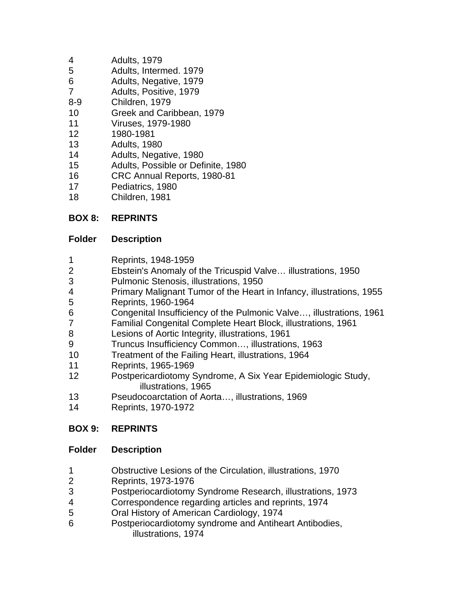- 4 Adults, 1979
- 5 Adults, Intermed. 1979
- 6 Adults, Negative, 1979
- 7 Adults, Positive, 1979
- 8-9 Children, 1979
- 10 Greek and Caribbean, 1979
- 11 Viruses, 1979-1980
- 12 1980-1981
- 13 Adults, 1980
- 14 Adults, Negative, 1980
- 15 Adults, Possible or Definite, 1980
- 16 CRC Annual Reports, 1980-81
- 17 Pediatrics, 1980
- 18 Children, 1981

# **BOX 8: REPRINTS**

# **Folder Description**

- 1 Reprints, 1948-1959
- 2 Ebstein's Anomaly of the Tricuspid Valve… illustrations, 1950
- 3 Pulmonic Stenosis, illustrations, 1950
- 4 Primary Malignant Tumor of the Heart in Infancy, illustrations, 1955
- 5 Reprints, 1960-1964
- 6 Congenital Insufficiency of the Pulmonic Valve…, illustrations, 1961
- 7 Familial Congenital Complete Heart Block, illustrations, 1961
- 8 Lesions of Aortic Integrity, illustrations, 1961
- 9 Truncus Insufficiency Common…, illustrations, 1963
- 10 Treatment of the Failing Heart, illustrations, 1964
- 11 Reprints, 1965-1969
- 12 Postpericardiotomy Syndrome, A Six Year Epidemiologic Study, illustrations, 1965
- 13 Pseudocoarctation of Aorta…, illustrations, 1969
- 14 Reprints, 1970-1972

# **BOX 9: REPRINTS**

# **Folder Description**

- 1 Obstructive Lesions of the Circulation, illustrations, 1970
- 2 Reprints, 1973-1976
- 3 Postperiocardiotomy Syndrome Research, illustrations, 1973
- 4 Correspondence regarding articles and reprints, 1974
- 5 Oral History of American Cardiology, 1974
- 6 Postperiocardiotomy syndrome and Antiheart Antibodies, illustrations, 1974